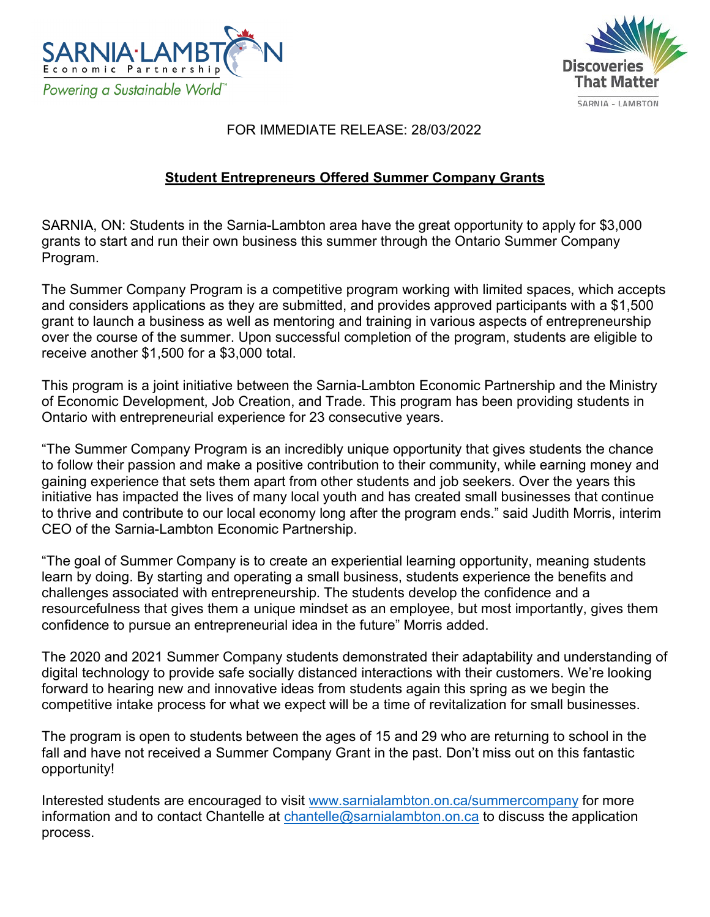



## FOR IMMEDIATE RELEASE: 28/03/2022

## **Student Entrepreneurs Offered Summer Company Grants**

SARNIA, ON: Students in the Sarnia-Lambton area have the great opportunity to apply for \$3,000 grants to start and run their own business this summer through the Ontario Summer Company Program.

The Summer Company Program is a competitive program working with limited spaces, which accepts and considers applications as they are submitted, and provides approved participants with a \$1,500 grant to launch a business as well as mentoring and training in various aspects of entrepreneurship over the course of the summer. Upon successful completion of the program, students are eligible to receive another \$1,500 for a \$3,000 total.

This program is a joint initiative between the Sarnia-Lambton Economic Partnership and the Ministry of Economic Development, Job Creation, and Trade. This program has been providing students in Ontario with entrepreneurial experience for 23 consecutive years.

"The Summer Company Program is an incredibly unique opportunity that gives students the chance to follow their passion and make a positive contribution to their community, while earning money and gaining experience that sets them apart from other students and job seekers. Over the years this initiative has impacted the lives of many local youth and has created small businesses that continue to thrive and contribute to our local economy long after the program ends." said Judith Morris, interim CEO of the Sarnia-Lambton Economic Partnership.

"The goal of Summer Company is to create an experiential learning opportunity, meaning students learn by doing. By starting and operating a small business, students experience the benefits and challenges associated with entrepreneurship. The students develop the confidence and a resourcefulness that gives them a unique mindset as an employee, but most importantly, gives them confidence to pursue an entrepreneurial idea in the future" Morris added.

The 2020 and 2021 Summer Company students demonstrated their adaptability and understanding of digital technology to provide safe socially distanced interactions with their customers. We're looking forward to hearing new and innovative ideas from students again this spring as we begin the competitive intake process for what we expect will be a time of revitalization for small businesses.

The program is open to students between the ages of 15 and 29 who are returning to school in the fall and have not received a Summer Company Grant in the past. Don't miss out on this fantastic opportunity!

Interested students are encouraged to visit [www.sarnialambton.on.ca/summercompany](http://www.sarnialambton.on.ca/summercompany) for more information and to contact Chantelle at [chantelle@sarnialambton.on.ca](mailto:chantelle@sarnialambton.on.ca) to discuss the application process.